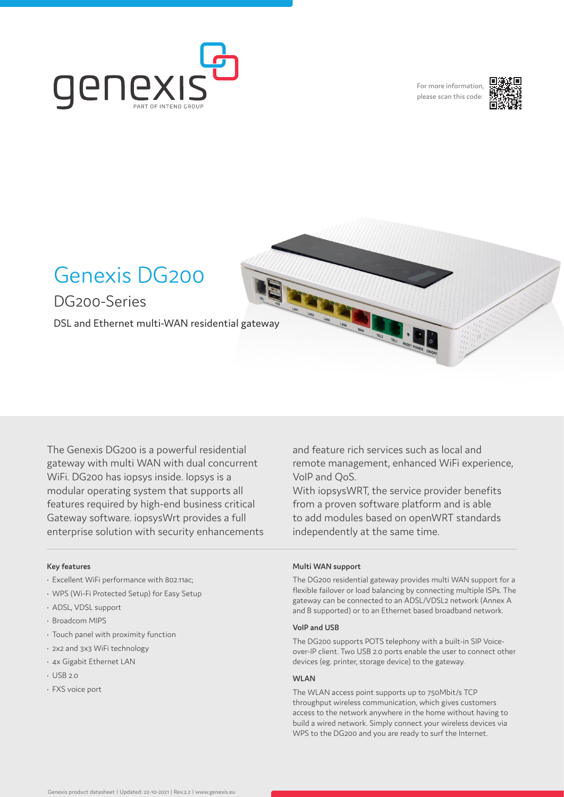

For more information, please scan this code:



# Genexis DG200

DG200-Series

DSL and Ethernet multi-WAN residential gateway

The Genexis DG200 is a powerful residential gateway with multi WAN with dual concurrent WiFi. DG200 has iopsys inside. Iopsys is a modular operating system that supports all features required by high-end business critical Gateway software. iopsysWrt provides a full enterprise solution with security enhancements

#### **Key features**

- Excellent WiFi performance with 802.11ac;
- WPS (Wi-Fi Protected Setup) for Easy Setup
- ADSL, VDSL support
- Broadcom MIPS
- Touch panel with proximity function
- 2x2 and 3x3 WiFi technology
- 4x Gigabit Ethernet LAN
- USB 2.0
- FXS voice port

and feature rich services such as local and remote management, enhanced WiFi experience, VoIP and QoS.

With iopsysWRT, the service provider benefits from a proven software platform and is able to add modules based on openWRT standards independently at the same time.

#### **Multi WAN support**

The DG200 residential gateway provides multi WAN support for a flexible failover or load balancing by connecting multiple ISPs. The gateway can be connected to an ADSL/VDSL2 network (Annex A and B supported) or to an Ethernet based broadband network.

#### **VoIP and USB**

The DG200 supports POTS telephony with a built-in SIP Voiceover-IP client. Two USB 2.0 ports enable the user to connect other devices (eg. printer, storage device) to the gateway.

#### **WLAN**

The WLAN access point supports up to 750Mbit/s TCP throughput wireless communication, which gives customers access to the network anywhere in the home without having to build a wired network. Simply connect your wireless devices via WPS to the DG200 and you are ready to surf the Internet.